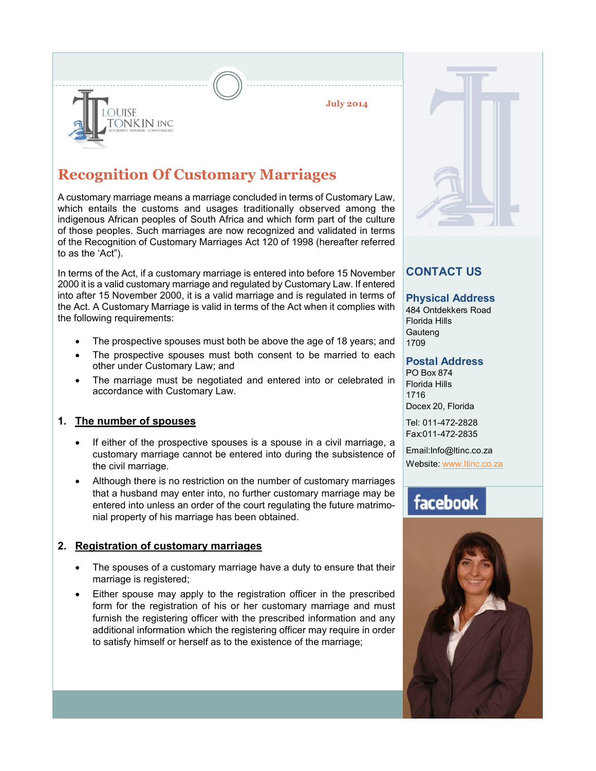**July 2014**

### **Recognition Of Customary Marriages**

A customary marriage means a marriage concluded in terms of Customary Law, which entails the customs and usages traditionally observed among the indigenous African peoples of South Africa and which form part of the culture of those peoples. Such marriages are now recognized and validated in terms of the Recognition of Customary Marriages Act 120 of 1998 (hereafter referred to as the 'Act").

In terms of the Act, if a customary marriage is entered into before 15 November 2000 it is a valid customary marriage and regulated by Customary Law. If entered into after 15 November 2000, it is a valid marriage and is regulated in terms of the Act. A Customary Marriage is valid in terms of the Act when it complies with the following requirements:

- The prospective spouses must both be above the age of 18 years; and
- · The prospective spouses must both consent to be married to each other under Customary Law; and
- The marriage must be negotiated and entered into or celebrated in accordance with Customary Law.

#### **1. The number of spouses**

**OUISE** 

**ONKIN INC** 

- If either of the prospective spouses is a spouse in a civil marriage, a customary marriage cannot be entered into during the subsistence of the civil marriage.
- Although there is no restriction on the number of customary marriages that a husband may enter into, no further customary marriage may be entered into unless an order of the court regulating the future matrimonial property of his marriage has been obtained.

#### **2. Registration of customary marriages**

- The spouses of a customary marriage have a duty to ensure that their marriage is registered;
- Either spouse may apply to the registration officer in the prescribed form for the registration of his or her customary marriage and must furnish the registering officer with the prescribed information and any additional information which the registering officer may require in order to satisfy himself or herself as to the existence of the marriage;



### **CONTACT US**

#### **Physical Address**

484 Ontdekkers Road Florida Hills **Gauteng** 1709

#### **Postal Address**

PO Box 874 Florida Hills 1716 Docex 20, Florida

Tel: 011-472-2828 Fax:011-472-2835

Email:Info@ltinc.co.za

Website: www.ltinc.co.za

# facebook